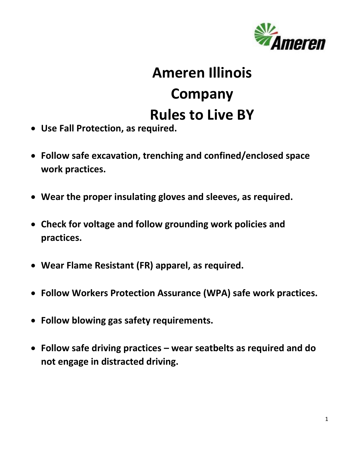

## **Ameren Illinois Company Rules to Live BY**

- **Use Fall Protection, as required.**
- **Follow safe excavation, trenching and confined/enclosed space work practices.**
- **Wear the proper insulating gloves and sleeves, as required.**
- **Check for voltage and follow grounding work policies and practices.**
- **Wear Flame Resistant (FR) apparel, as required.**
- **Follow Workers Protection Assurance (WPA) safe work practices.**
- **Follow blowing gas safety requirements.**
- **Follow safe driving practices – wear seatbelts as required and do not engage in distracted driving.**